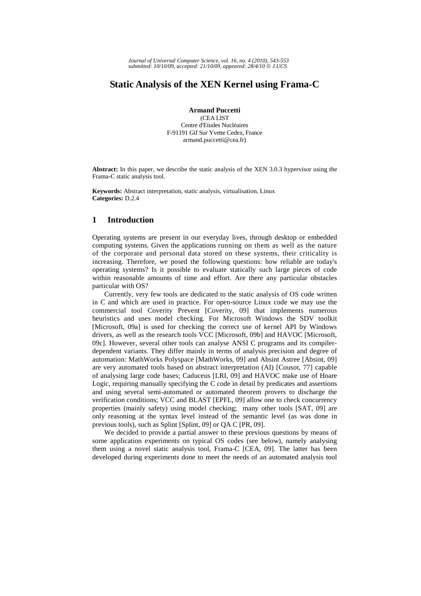*Journal of Universal Computer Science, vol. 16, no. 4 (2010), 543-553 submitted: 10/10/09, accepted: 21/10/09, appeared: 28/4/10* © *J.UCS*

# **Static Analysis of the XEN Kernel using Frama-C**

**Armand Puccetti** 

(CEA LIST Centre d'Etudes Nucléaires F-91191 Gif Sur Yvette Cedex, France armand.puccetti@cea.fr)

**Abstract:** In this paper, we describe the static analysis of the XEN 3.0.3 hypervisor using the Frama-C static analysis tool.

**Keywords:** Abstract interpretation, static analysis, virtualisation, Linux **Categories:** D.2.4

# **1 Introduction**

Operating systems are present in our everyday lives, through desktop or embedded computing systems. Given the applications running on them as well as the nature of the corporate and personal data stored on these systems, their criticality is increasing. Therefore, we posed the following questions: how reliable are today's operating systems? Is it possible to evaluate statically such large pieces of code within reasonable amounts of time and effort. Are there any particular obstacles particular with OS?

Currently, very few tools are dedicated to the static analysis of OS code written in C and which are used in practice. For open-source Linux code we may use the commercial tool Coverity Prevent [Coverity, 09] that implements numerous heuristics and uses model checking. For Microsoft Windows the SDV toolkit [Microsoft, 09a] is used for checking the correct use of kernel API by Windows drivers, as well as the research tools VCC [Microsoft, 09b] and HAVOC [Microsoft, 09c]. However, several other tools can analyse ANSI C programs and its compilerdependent variants. They differ mainly in terms of analysis precision and degree of automation: MathWorks Polyspace [MathWorks, 09] and Absint Astree [Absint, 09] are very automated tools based on abstract interpretation (AI) [Cousot, 77] capable of analysing large code bases; Caduceus [LRI, 09] and HAVOC make use of Hoare Logic, requiring manually specifying the C code in detail by predicates and assertions and using several semi-automated or automated theorem provers to discharge the verification conditions; VCC and BLAST [EPFL, 09] allow one to check concurrency properties (mainly safety) using model checking; many other tools [SAT, 09] are only reasoning at the syntax level instead of the semantic level (as was done in previous tools), such as Splint [Splint, 09] or QA C [PR, 09].

We decided to provide a partial answer to these previous questions by means of some application experiments on typical OS codes (see below), namely analysing them using a novel static analysis tool, Frama-C [CEA, 09]. The latter has been developed during experiments done to meet the needs of an automated analysis tool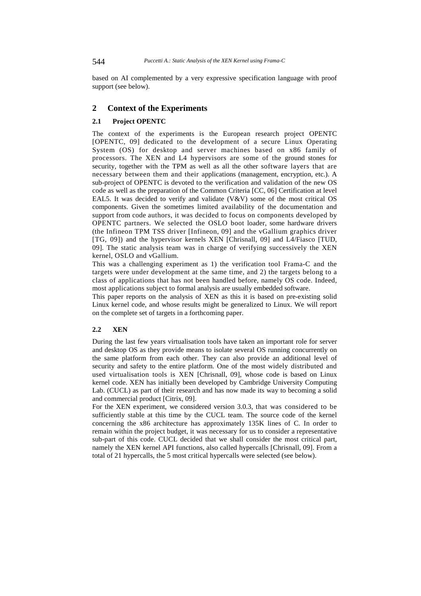based on AI complemented by a very expressive specification language with proof support (see below).

# **2 Context of the Experiments**

## **2.1 Project OPENTC**

The context of the experiments is the European research project OPENTC [OPENTC, 09] dedicated to the development of a secure Linux Operating System (OS) for desktop and server machines based on x86 family of processors. The XEN and L4 hypervisors are some of the ground stones for security, together with the TPM as well as all the other software layers that are necessary between them and their applications (management, encryption, etc.). A sub-project of OPENTC is devoted to the verification and validation of the new OS code as well as the preparation of the Common Criteria [CC, 06] Certification at level EAL5. It was decided to verify and validate ( $V&V$ ) some of the most critical OS components. Given the sometimes limited availability of the documentation and support from code authors, it was decided to focus on components developed by OPENTC partners. We selected the OSLO boot loader, some hardware drivers (the Infineon TPM TSS driver [Infineon, 09] and the vGallium graphics driver [TG, 09]) and the hypervisor kernels XEN [Chrisnall, 09] and L4/Fiasco [TUD, 09]. The static analysis team was in charge of verifying successively the XEN kernel, OSLO and vGallium.

This was a challenging experiment as 1) the verification tool Frama-C and the targets were under development at the same time, and 2) the targets belong to a class of applications that has not been handled before, namely OS code. Indeed, most applications subject to formal analysis are usually embedded software.

This paper reports on the analysis of XEN as this it is based on pre-existing solid Linux kernel code, and whose results might be generalized to Linux. We will report on the complete set of targets in a forthcoming paper.

## **2.2 XEN**

During the last few years virtualisation tools have taken an important role for server and desktop OS as they provide means to isolate several OS running concurrently on the same platform from each other. They can also provide an additional level of security and safety to the entire platform. One of the most widely distributed and used virtualisation tools is XEN [Chrisnall, 09], whose code is based on Linux kernel code. XEN has initially been developed by Cambridge University Computing Lab. (CUCL) as part of their research and has now made its way to becoming a solid and commercial product [Citrix, 09].

For the XEN experiment, we considered version 3.0.3, that was considered to be sufficiently stable at this time by the CUCL team. The source code of the kernel concerning the x86 architecture has approximately 135K lines of C. In order to remain within the project budget, it was necessary for us to consider a representative sub-part of this code. CUCL decided that we shall consider the most critical part, namely the XEN kernel API functions, also called hypercalls [Chrisnall, 09]. From a total of 21 hypercalls, the 5 most critical hypercalls were selected (see below).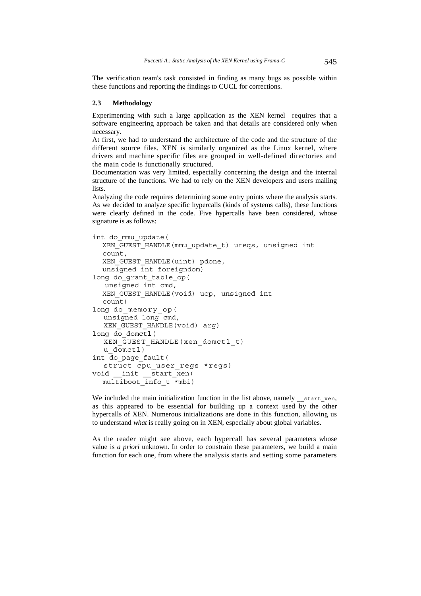The verification team's task consisted in finding as many bugs as possible within these functions and reporting the findings to CUCL for corrections.

#### **2.3 Methodology**

Experimenting with such a large application as the XEN kernel requires that a software engineering approach be taken and that details are considered only when necessary.

At first, we had to understand the architecture of the code and the structure of the different source files. XEN is similarly organized as the Linux kernel, where drivers and machine specific files are grouped in well-defined directories and the main code is functionally structured.

Documentation was very limited, especially concerning the design and the internal structure of the functions. We had to rely on the XEN developers and users mailing **lists**.

Analyzing the code requires determining some entry points where the analysis starts. As we decided to analyze specific hypercalls (kinds of systems calls), these functions were clearly defined in the code. Five hypercalls have been considered, whose signature is as follows:

```
int do_mmu_update( 
  XEN GUEST HANDLE(mmu update t) ureqs, unsigned int
  count, 
  XEN GUEST HANDLE(uint) pdone,
  unsigned int foreigndom) 
long do grant table op(
    unsigned int cmd, 
  XEN_GUEST_HANDLE(void) uop, unsigned int 
  count) 
long do memory op(
  unsigned long cmd, 
  XEN_GUEST_HANDLE(void) arg) 
long do_domctl( 
  XEN_GUEST_HANDLE(xen_domctl_t) 
  u domctl)
int do_page_fault( 
  struct cpu_user_regs *regs) 
void __init __start_xen( 
  multiboot_info_t *mbi)
```
We included the main initialization function in the list above, namely start xen, as this appeared to be essential for building up a context used by the other hypercalls of XEN. Numerous initializations are done in this function, allowing us to understand *what* is really going on in XEN, especially about global variables.

As the reader might see above, each hypercall has several parameters whose value is *a priori* unknown. In order to constrain these parameters, we build a main function for each one, from where the analysis starts and setting some parameters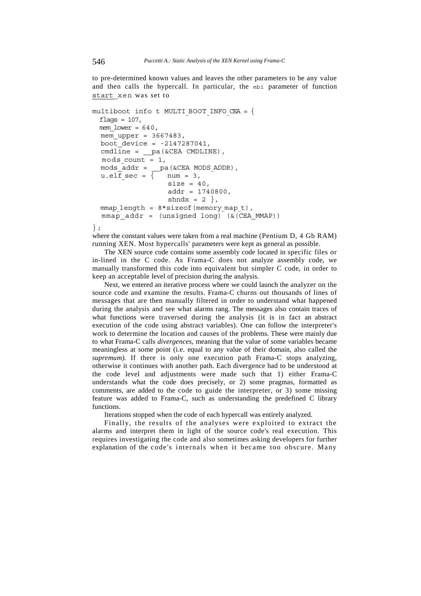to pre-determined known values and leaves the other parameters to be any value and then calls the hypercall. In particular, the mbi parameter of function start\_xen was set to

```
multiboot info t MULTI BOOT INFO CEA = {
 flags = 107,
 mem lower = 640,
  mem upper = 3667483,
  boot device = -2147287041,
   cmdline = __pa(&CEA CMDLINE), 
  mods count = 1,
  mods\_addr = \_pa(&CEA MODS ADDR),
  u.elf sec = \overline{\{\}} num = 3,
                   size = 40,
                   addr = 1740800,shndx = 2 },
  mmap length = 8*sizeof(memorymap t),
  mmap addr = (unsigned long) (&(CEA MMAP))
```
};

where the constant values were taken from a real machine (Pentium D, 4 Gb RAM) running XEN. Most hypercalls' parameters were kept as general as possible.

The XEN source code contains some assembly code located in specific files or in-lined in the C code. As Frama-C does not analyze assembly code, we manually transformed this code into equivalent but simpler C code, in order to keep an acceptable level of precision during the analysis.

Next, we entered an iterative process where we could launch the analyzer on the source code and examine the results. Frama-C churns out thousands of lines of messages that are then manually filtered in order to understand what happened during the analysis and see what alarms rang. The messages also contain traces of what functions were traversed during the analysis (it is in fact an abstract execution of the code using abstract variables). One can follow the interpreter's work to determine the location and causes of the problems. These were mainly due to what Frama-C calls *divergences,* meaning that the value of some variables became meaningless at some point (i.e. equal to any value of their domain, also called the *supremum).* If there is only one execution path Frama-C stops analyzing, otherwise it continues with another path. Each divergence had to be understood at the code level and adjustments were made such that 1) either Frama-C understands what the code does precisely, or 2) some pragmas, formatted as comments, are added to the code to guide the interpreter, or 3) some missing feature was added to Frama-C, such as understanding the predefined C library functions.

Iterations stopped when the code of each hypercall was entirely analyzed.

Finally, the results of the analyses were exploited to extract the alarms and interpret them in light of the source code's real execution. This requires investigating the code and also sometimes asking developers for further explanation of the code's internals when it became too obscure. Many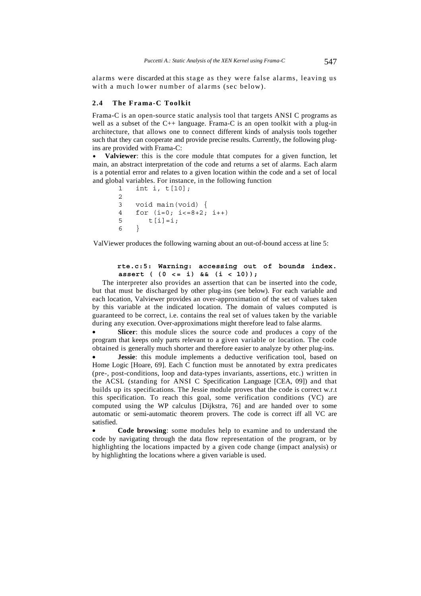alarms were discarded at this stage as they were false alarms, leaving us with a much lower number of alarms (sec below).

#### **2.4 The Frama-C Toolkit**

Frama-C is an open-source static analysis tool that targets ANSI C programs as well as a subset of the C++ language. Frama-C is an open toolkit with a plug-in architecture, that allows one to connect different kinds of analysis tools together such that they can cooperate and provide precise results. Currently, the following plugins are provided with Frama-C:

• **Valviewer**: this is the core module thtat computes for a given function, let main, an abstract interpretation of the code and returns a set of alarms. Each alarm is a potential error and relates to a given location within the code and a set of local and global variables. For instance, in the following function

```
1 int i, t[10]; 
2 
3 void main(void) { 
4 for (i=0; i<=8+2; i++)5 t[i]=i;6 }
```
ValViewer produces the following warning about an out-of-bound access at line 5:

### **rte.c:5: Warning: accessing out of bounds index. assert ( (0 <= i) && (i < 10));**

The interpreter also provides an assertion that can be inserted into the code, but that must be discharged by other plug-ins (see below). For each variable and each location, Valviewer provides an over-approximation of the set of values taken by this variable at the indicated location. The domain of values computed is guaranteed to be correct, i.e. contains the real set of values taken by the variable during any execution. Over-approximations might therefore lead to false alarms.

**Slicer**: this module slices the source code and produces a copy of the program that keeps only parts relevant to a given variable or location. The code obtained is generally much shorter and therefore easier to analyze by other plug-ins.

**Jessie**: this module implements a deductive verification tool, based on Home Logic [Hoare, 69]. Each C function must be annotated by extra predicates (pre-, post-conditions, loop and data-types invariants, assertions, etc.) written in the ACSL (standing for ANSI C Specification Language [CEA, 09]) and that builds up its specifications. The Jessie module proves that the code is correct w.r.t this specification. To reach this goal, some verification conditions (VC) are computed using the WP calculus [Dijkstra, 76] and are handed over to some automatic or semi-automatic theorem provers. The code is correct iff all VC are satisfied.

• **Code browsing**: some modules help to examine and to understand the code by navigating through the data flow representation of the program, or by highlighting the locations impacted by a given code change (impact analysis) or by highlighting the locations where a given variable is used.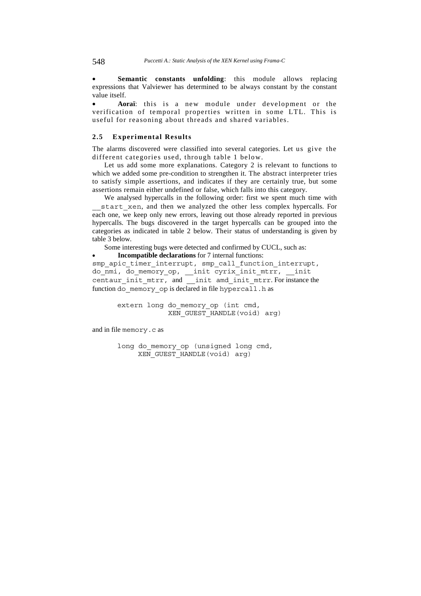• **Semantic constants unfolding**: this module allows replacing expressions that Valviewer has determined to be always constant by the constant value itself.

• **Aoraï**: this is a new module under development or the verification of temporal properties written in some LTL. This is useful for reasoning about threads and shared variables.

#### **2.5 Experimental Results**

The alarms discovered were classified into several categories. Let us give the different categories used, through table 1 below.

Let us add some more explanations. Category 2 is relevant to functions to which we added some pre-condition to strengthen it. The abstract interpreter tries to satisfy simple assertions, and indicates if they are certainly true, but some assertions remain either undefined or false, which falls into this category.

We analysed hypercalls in the following order: first we spent much time with start xen, and then we analyzed the other less complex hypercalls. For each one, we keep only new errors, leaving out those already reported in previous hypercalls. The bugs discovered in the target hypercalls can be grouped into the categories as indicated in table 2 below. Their status of understanding is given by table 3 below.

Some interesting bugs were detected and confirmed by CUCL, such as:

• **Incompatible declarations** for 7 internal functions:

smp apic timer interrupt, smp call function interrupt, do\_nmi, do\_memory\_op, \_\_init cyrix\_init\_mtrr, \_\_init centaur init mtrr, and \_\_init amd init mtrr. For instance the function do memory op is declared in file hypercall.h as

> extern long do memory op (int cmd, XEN\_GUEST\_HANDLE(void) arg)

and in file memory.c as

long do\_memory\_op (unsigned long cmd,  $XEN$  GUEST HANDLE(void) arg)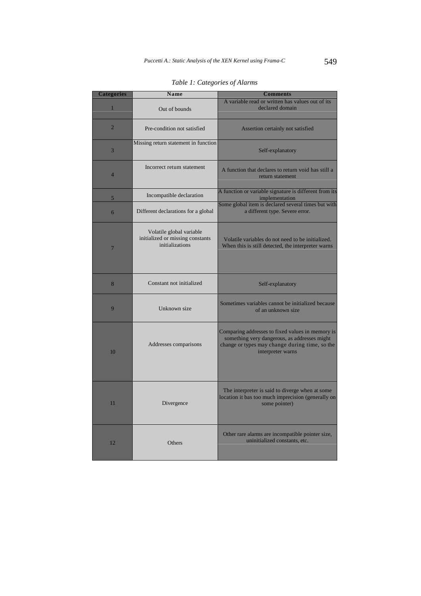| <b>Categories</b> | Name                                                                            | <b>Comments</b>                                                                                                                                                         |  |  |  |
|-------------------|---------------------------------------------------------------------------------|-------------------------------------------------------------------------------------------------------------------------------------------------------------------------|--|--|--|
| $\mathbf{1}$      | Out of bounds                                                                   | A variable read or written has values out of its<br>declared domain                                                                                                     |  |  |  |
| $\overline{2}$    | Pre-condition not satisfied                                                     | Assertion certainly not satisfied                                                                                                                                       |  |  |  |
| 3                 | Missing return statement in function                                            | Self-explanatory                                                                                                                                                        |  |  |  |
| $\overline{4}$    | Incorrect retum statement                                                       | A function that declares to return void has still a<br>return statement                                                                                                 |  |  |  |
| 5                 | Incompatible declaration                                                        | A function or variable signature is different from its<br>implementation                                                                                                |  |  |  |
| 6                 | Different declarations for a global                                             | Some global item is declared several times but with<br>a different type. Severe error.                                                                                  |  |  |  |
| $\overline{7}$    | Volatile global variable<br>initialized or missing constants<br>initializations | Volatile variables do not need to be initialized.<br>When this is still detected, the interpreter warns                                                                 |  |  |  |
| 8                 | Constant not initialized                                                        | Self-explanatory                                                                                                                                                        |  |  |  |
| 9                 | Unknown size                                                                    | Sometimes variables cannot be initialized because<br>of an unknown size                                                                                                 |  |  |  |
| 10                | Addresses comparisons                                                           | Comparing addresses to fixed values in memory is<br>something very dangerous, as addresses might<br>change or types may change during time, so the<br>interpreter warns |  |  |  |
| 11                | Divergence                                                                      | The interpreter is said to diverge when at some<br>location it bas too much imprecision (generally on<br>some pointer)                                                  |  |  |  |
| 12                | Others                                                                          | Other rare alarms are incompatible pointer size,<br>uninitialized constants, etc.                                                                                       |  |  |  |

*Table 1: Categories of Alarms*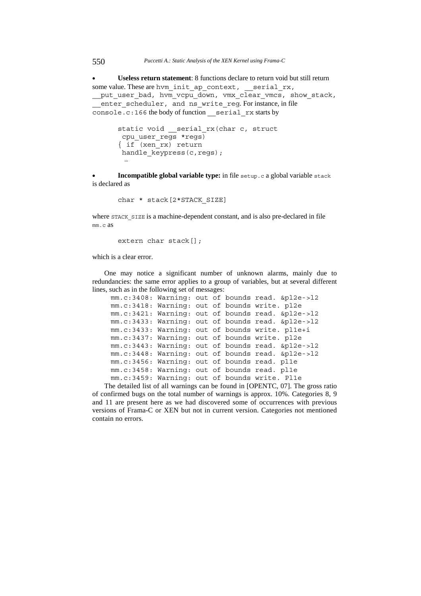• **Useless return statement**: 8 functions declare to return void but still return some value. These are hvm\_init\_ap\_context, \_\_serial\_rx,

put user bad, hvm vcpu down, vmx clear vmcs, show stack, enter scheduler, and ns write reg. For instance, in file console.c:166 the body of function serial rx starts by

```
static void __serial_rx(char c, struct 
       cpu_user_regs *regs) 
       { if (xen_rx) return 
      handle keypress(c,regs);
 …
```
**Incompatible global variable type:** in file setup.c a global variable stack is declared as

char \* stack[2\*STACK\_SIZE]

where STACK SIZE is a machine-dependent constant, and is also pre-declared in file mm.c as

extern char stack[];

which is a clear error.

One may notice a significant number of unknown alarms, mainly due to redundancies: the same error applies to a group of variables, but at several different lines, such as in the following set of messages:

```
mm.c:3408: Warning: out of bounds read. &pl2e->l2 
mm.c:3418: Warning: out of bounds write. pl2e 
mm.c:3421: Warning: out of bounds read. &pl2e->l2 
mm.c:3433: Warning: out of bounds read. &pl2e->l2 
mm.c:3433: Warning: out of bounds write. pl1e+i 
mm.c:3437: Warning: out of bounds write. pl2e 
mm.c:3443: Warning: out of bounds read. &pl2e->l2 
mm.c:3448: Warning: out of bounds read. &pl2e->l2 
mm.c:3456: Warning: out of bounds read. pl1e 
mm.c:3458: Warning: out of bounds read. pl1e 
mm.c:3459: Warning: out of bounds write. Pl1e
```
The detailed list of all warnings can be found in [OPENTC, 07]. The gross ratio of confirmed bugs on the total number of warnings is approx. 10%. Categories 8, 9 and 11 are present here as we had discovered some of occurrences with previous versions of Frama-C or XEN but not in current version. Categories not mentioned contain no errors.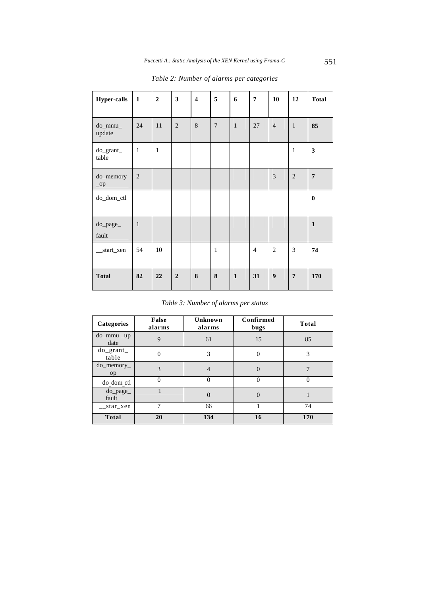| <b>Hyper-calls</b>         | $\mathbf{1}$   | $\overline{2}$ | $\overline{\mathbf{3}}$ | $\overline{\mathbf{4}}$ | 5              | 6            | $\overline{7}$ | 10             | 12             | <b>Total</b>   |
|----------------------------|----------------|----------------|-------------------------|-------------------------|----------------|--------------|----------------|----------------|----------------|----------------|
| do_mmu_<br>update          | 24             | 11             | $\overline{c}$          | $\,$ 8 $\,$             | $\overline{7}$ | $\mathbf{1}$ | 27             | $\overline{4}$ | $\mathbf{1}$   | 85             |
| do_grant_<br>table         | $\mathbf{1}$   | $\mathbf{1}$   |                         |                         |                |              |                |                | $\mathbf 1$    | 3              |
| do_memory<br>$_{\rm -}$ op | $\overline{2}$ |                |                         |                         |                |              |                | 3              | $\overline{c}$ | $\overline{7}$ |
| do_dom_ctl                 |                |                |                         |                         |                |              |                |                |                | $\bf{0}$       |
| do_page_<br>fault          | $\mathbf{1}$   |                |                         |                         |                |              |                |                |                | $\mathbf{1}$   |
| __start_xen                | 54             | 10             |                         |                         | $\mathbf{1}$   |              | $\overline{4}$ | $\overline{c}$ | 3              | 74             |
| <b>Total</b>               | 82             | 22             | $\overline{2}$          | ${\bf 8}$               | $\bf{8}$       | $\mathbf{1}$ | 31             | 9              | $\overline{7}$ | 170            |

*Table 2: Number of alarms per categories* 

*Table 3: Number of alarms per status* 

| Categories            | False<br>alarms | Unknown<br>alarms | Confirmed<br>bugs | <b>Total</b> |
|-----------------------|-----------------|-------------------|-------------------|--------------|
| $do$ _mmu _up<br>date | 9               | 61                | 15                | 85           |
| $do\_grant$<br>table  | $\Omega$        | 3                 | $\Omega$          | 3            |
| $do$ memory<br>op     | 3               | 4                 | $\theta$          | 7            |
| do dom ctl            | $\Omega$        | $\theta$          | $\Omega$          | 0            |
| $do$ _page_<br>fault  |                 | $\overline{0}$    | $\theta$          |              |
| star_xen              | 7               | 66                |                   | 74           |
| <b>Total</b>          | 20              | 134               | 16                | 170          |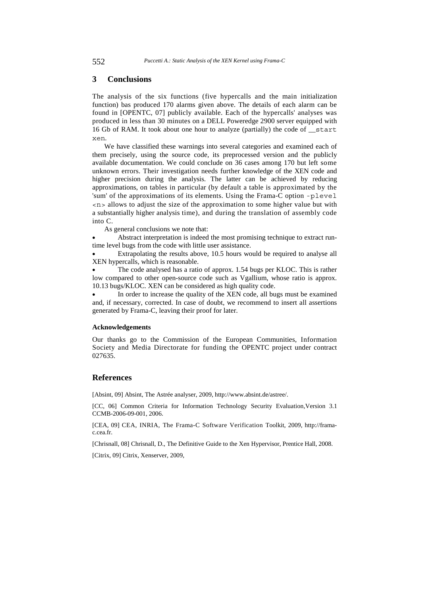### **3 Conclusions**

The analysis of the six functions (five hypercalls and the main initialization function) bas produced 170 alarms given above. The details of each alarm can be found in [OPENTC, 07] publicly available. Each of the hypercalls' analyses was produced in less than 30 minutes on a DELL Poweredge 2900 server equipped with 16 Gb of RAM. It took about one hour to analyze (partially) the code of \_\_start xen.

We have classified these warnings into several categories and examined each of them precisely, using the source code, its preprocessed version and the publicly available documentation. We could conclude on 36 cases among 170 but left some unknown errors. Their investigation needs further knowledge of the XEN code and higher precision during the analysis. The latter can be achieved by reducing approximations, on tables in particular (by default a table is approximated by the 'sum' of the approximations of its elements. Using the Frama-C option -plevel <n> allows to adjust the size of the approximation to some higher value but with a substantially higher analysis time), and during the translation of assembly code into C.

As general conclusions we note that:

Abstract interpretation is indeed the most promising technique to extract runtime level bugs from the code with little user assistance.

Extrapolating the results above, 10.5 hours would be required to analyse all XEN hypercalls, which is reasonable.

The code analysed has a ratio of approx. 1.54 bugs per KLOC. This is rather low compared to other open-source code such as Vgallium, whose ratio is approx. 10.13 bugs/KLOC. XEN can be considered as high quality code.

In order to increase the quality of the XEN code, all bugs must be examined and, if necessary, corrected. In case of doubt, we recommend to insert all assertions generated by Frama-C, leaving their proof for later.

#### **Acknowledgements**

Our thanks go to the Commission of the European Communities, Information Society and Media Directorate for funding the OPENTC project under contract 027635.

# **References**

[Absint, 09] Absint, The Astrée analyser, 2009, http://www.absint.de/astree/.

[CC, 06] Common Criteria for Information Technology Security Evaluation, Version 3.1 CCMB-2006-09-001, 2006.

[CEA, 09] CEA, INRIA, The Frama-C Software Verification Toolkit, 2009, http://framac.cea.fr.

[Chrisnall, 08] Chrisnall, D., The Definitive Guide to the Xen Hypervisor, Prentice Hall, 2008.

[Citrix, 09] Citrix, Xenserver, 2009,